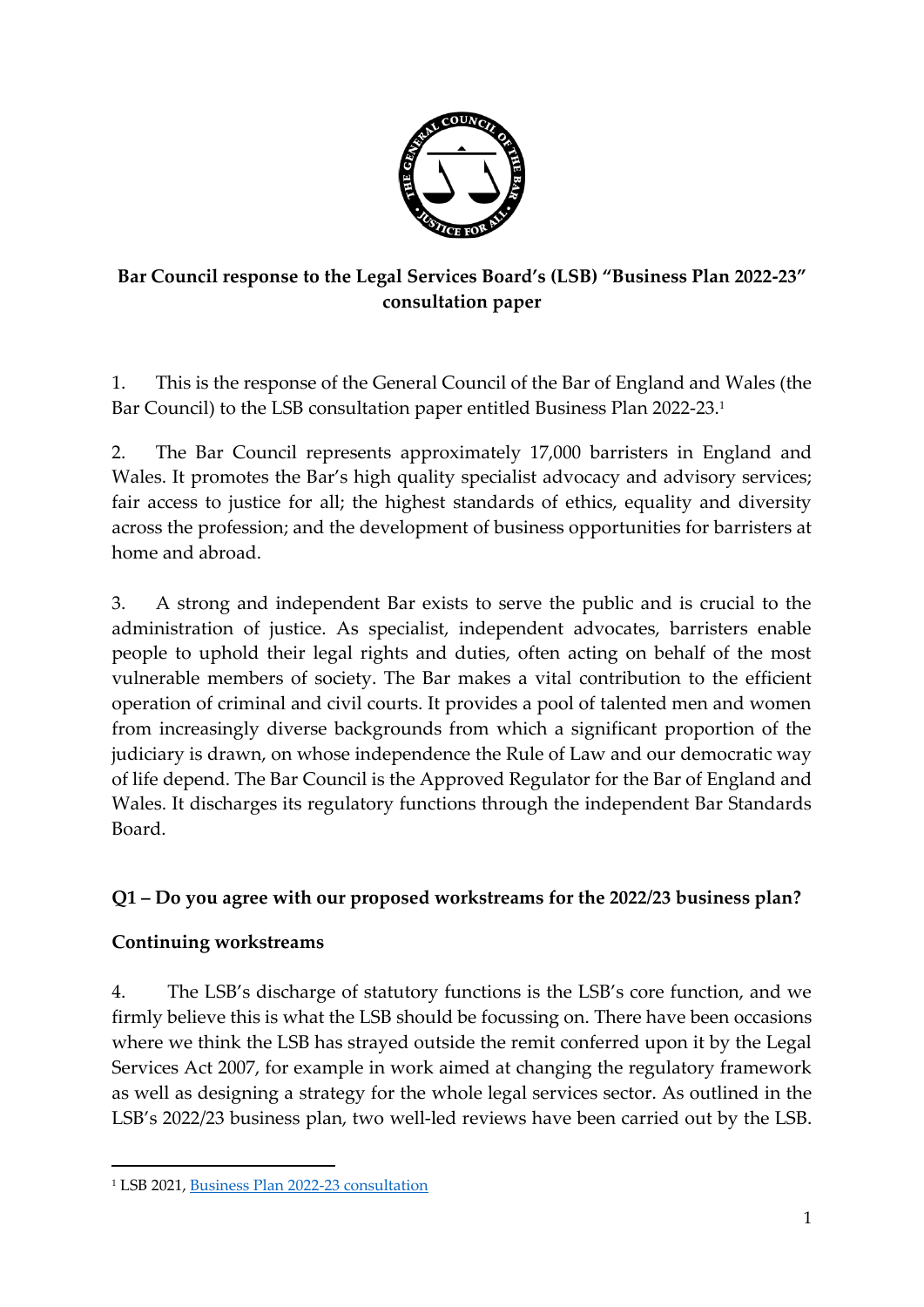

# **Bar Council response to the Legal Services Board's (LSB) "Business Plan 2022-23" consultation paper**

1. This is the response of the General Council of the Bar of England and Wales (the Bar Council) to the LSB consultation paper entitled Business Plan 2022-23. 1

2. The Bar Council represents approximately 17,000 barristers in England and Wales. It promotes the Bar's high quality specialist advocacy and advisory services; fair access to justice for all; the highest standards of ethics, equality and diversity across the profession; and the development of business opportunities for barristers at home and abroad.

3. A strong and independent Bar exists to serve the public and is crucial to the administration of justice. As specialist, independent advocates, barristers enable people to uphold their legal rights and duties, often acting on behalf of the most vulnerable members of society. The Bar makes a vital contribution to the efficient operation of criminal and civil courts. It provides a pool of talented men and women from increasingly diverse backgrounds from which a significant proportion of the judiciary is drawn, on whose independence the Rule of Law and our democratic way of life depend. The Bar Council is the Approved Regulator for the Bar of England and Wales. It discharges its regulatory functions through the independent Bar Standards Board.

## **Q1 – Do you agree with our proposed workstreams for the 2022/23 business plan?**

## **Continuing workstreams**

4. The LSB's discharge of statutory functions is the LSB's core function, and we firmly believe this is what the LSB should be focussing on. There have been occasions where we think the LSB has strayed outside the remit conferred upon it by the Legal Services Act 2007, for example in work aimed at changing the regulatory framework as well as designing a strategy for the whole legal services sector. As outlined in the LSB's 2022/23 business plan, two well-led reviews have been carried out by the LSB.

<sup>1</sup> LSB 2021[, Business Plan 2022-23 consultation](https://legalservicesboard.org.uk/wp-content/uploads/2021/12/Draft-consultation-document-draft-business-plan-2022-2023-final-.pdf)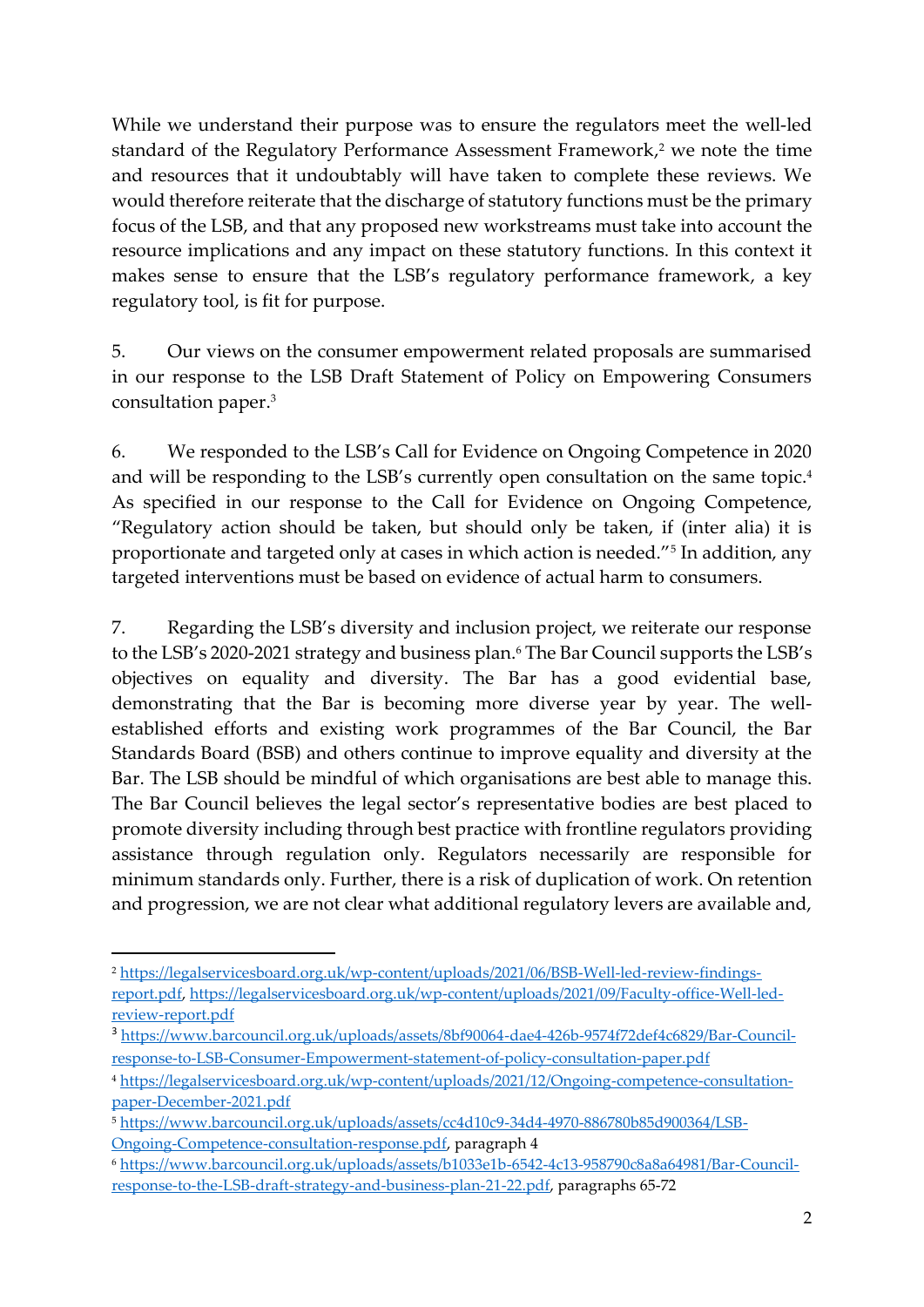While we understand their purpose was to ensure the regulators meet the well-led standard of the Regulatory Performance Assessment Framework, <sup>2</sup> we note the time and resources that it undoubtably will have taken to complete these reviews. We would therefore reiterate that the discharge of statutory functions must be the primary focus of the LSB, and that any proposed new workstreams must take into account the resource implications and any impact on these statutory functions. In this context it makes sense to ensure that the LSB's regulatory performance framework, a key regulatory tool, is fit for purpose.

5. Our views on the consumer empowerment related proposals are summarised in our response to the LSB Draft Statement of Policy on Empowering Consumers consultation paper. 3

6. We responded to the LSB's Call for Evidence on Ongoing Competence in 2020 and will be responding to the LSB's currently open consultation on the same topic. 4 As specified in our response to the Call for Evidence on Ongoing Competence, "Regulatory action should be taken, but should only be taken, if (inter alia) it is proportionate and targeted only at cases in which action is needed."<sup>5</sup> In addition, any targeted interventions must be based on evidence of actual harm to consumers.

7. Regarding the LSB's diversity and inclusion project, we reiterate our response to the LSB's 2020-2021 strategy and business plan.<sup>6</sup> The Bar Council supports the LSB's objectives on equality and diversity. The Bar has a good evidential base, demonstrating that the Bar is becoming more diverse year by year. The wellestablished efforts and existing work programmes of the Bar Council, the Bar Standards Board (BSB) and others continue to improve equality and diversity at the Bar. The LSB should be mindful of which organisations are best able to manage this. The Bar Council believes the legal sector's representative bodies are best placed to promote diversity including through best practice with frontline regulators providing assistance through regulation only. Regulators necessarily are responsible for minimum standards only. Further, there is a risk of duplication of work. On retention and progression, we are not clear what additional regulatory levers are available and,

<sup>2</sup> [https://legalservicesboard.org.uk/wp-content/uploads/2021/06/BSB-Well-led-review-findings](https://legalservicesboard.org.uk/wp-content/uploads/2021/06/BSB-Well-led-review-findings-report.pdf)[report.pdf,](https://legalservicesboard.org.uk/wp-content/uploads/2021/06/BSB-Well-led-review-findings-report.pdf) [https://legalservicesboard.org.uk/wp-content/uploads/2021/09/Faculty-office-Well-led](https://legalservicesboard.org.uk/wp-content/uploads/2021/09/Faculty-office-Well-led-review-report.pdf)[review-report.pdf](https://legalservicesboard.org.uk/wp-content/uploads/2021/09/Faculty-office-Well-led-review-report.pdf) 

<sup>3</sup> [https://www.barcouncil.org.uk/uploads/assets/8bf90064-dae4-426b-9574f72def4c6829/Bar-Council](https://www.barcouncil.org.uk/uploads/assets/8bf90064-dae4-426b-9574f72def4c6829/Bar-Council-response-to-LSB-Consumer-Empowerment-statement-of-policy-consultation-paper.pdf)[response-to-LSB-Consumer-Empowerment-statement-of-policy-consultation-paper.pdf](https://www.barcouncil.org.uk/uploads/assets/8bf90064-dae4-426b-9574f72def4c6829/Bar-Council-response-to-LSB-Consumer-Empowerment-statement-of-policy-consultation-paper.pdf)

<sup>4</sup> [https://legalservicesboard.org.uk/wp-content/uploads/2021/12/Ongoing-competence-consultation](https://legalservicesboard.org.uk/wp-content/uploads/2021/12/Ongoing-competence-consultation-paper-December-2021.pdf)[paper-December-2021.pdf](https://legalservicesboard.org.uk/wp-content/uploads/2021/12/Ongoing-competence-consultation-paper-December-2021.pdf)

<sup>5</sup> [https://www.barcouncil.org.uk/uploads/assets/cc4d10c9-34d4-4970-886780b85d900364/LSB-](https://www.barcouncil.org.uk/uploads/assets/cc4d10c9-34d4-4970-886780b85d900364/LSB-Ongoing-Competence-consultation-response.pdf)[Ongoing-Competence-consultation-response.pdf,](https://www.barcouncil.org.uk/uploads/assets/cc4d10c9-34d4-4970-886780b85d900364/LSB-Ongoing-Competence-consultation-response.pdf) paragraph 4

<sup>6</sup> [https://www.barcouncil.org.uk/uploads/assets/b1033e1b-6542-4c13-958790c8a8a64981/Bar-Council](https://www.barcouncil.org.uk/uploads/assets/b1033e1b-6542-4c13-958790c8a8a64981/Bar-Council-response-to-the-LSB-draft-strategy-and-business-plan-21-22.pdf)[response-to-the-LSB-draft-strategy-and-business-plan-21-22.pdf,](https://www.barcouncil.org.uk/uploads/assets/b1033e1b-6542-4c13-958790c8a8a64981/Bar-Council-response-to-the-LSB-draft-strategy-and-business-plan-21-22.pdf) paragraphs 65-72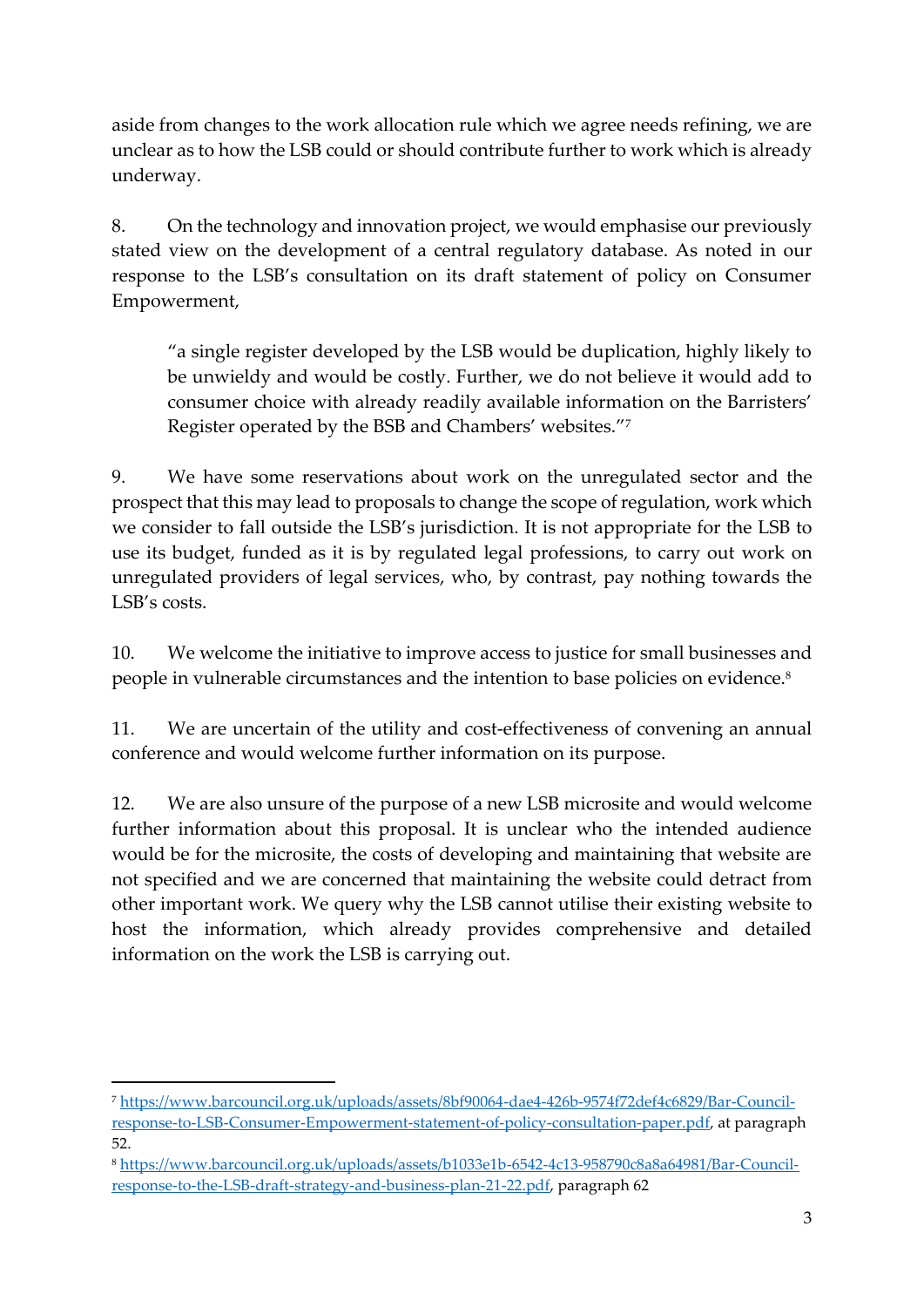aside from changes to the work allocation rule which we agree needs refining, we are unclear as to how the LSB could or should contribute further to work which is already underway.

8. On the technology and innovation project, we would emphasise our previously stated view on the development of a central regulatory database. As noted in our response to the LSB's consultation on its draft statement of policy on Consumer Empowerment,

"a single register developed by the LSB would be duplication, highly likely to be unwieldy and would be costly. Further, we do not believe it would add to consumer choice with already readily available information on the Barristers' Register operated by the BSB and Chambers' websites."<sup>7</sup>

9. We have some reservations about work on the unregulated sector and the prospect that this may lead to proposals to change the scope of regulation, work which we consider to fall outside the LSB's jurisdiction. It is not appropriate for the LSB to use its budget, funded as it is by regulated legal professions, to carry out work on unregulated providers of legal services, who, by contrast, pay nothing towards the LSB's costs.

10. We welcome the initiative to improve access to justice for small businesses and people in vulnerable circumstances and the intention to base policies on evidence.<sup>8</sup>

11. We are uncertain of the utility and cost-effectiveness of convening an annual conference and would welcome further information on its purpose.

12. We are also unsure of the purpose of a new LSB microsite and would welcome further information about this proposal. It is unclear who the intended audience would be for the microsite, the costs of developing and maintaining that website are not specified and we are concerned that maintaining the website could detract from other important work. We query why the LSB cannot utilise their existing website to host the information, which already provides comprehensive and detailed information on the work the LSB is carrying out.

<sup>7</sup> [https://www.barcouncil.org.uk/uploads/assets/8bf90064-dae4-426b-9574f72def4c6829/Bar-Council](https://www.barcouncil.org.uk/uploads/assets/8bf90064-dae4-426b-9574f72def4c6829/Bar-Council-response-to-LSB-Consumer-Empowerment-statement-of-policy-consultation-paper.pdf)[response-to-LSB-Consumer-Empowerment-statement-of-policy-consultation-paper.pdf,](https://www.barcouncil.org.uk/uploads/assets/8bf90064-dae4-426b-9574f72def4c6829/Bar-Council-response-to-LSB-Consumer-Empowerment-statement-of-policy-consultation-paper.pdf) at paragraph 52.

<sup>8</sup> [https://www.barcouncil.org.uk/uploads/assets/b1033e1b-6542-4c13-958790c8a8a64981/Bar-Council](https://www.barcouncil.org.uk/uploads/assets/b1033e1b-6542-4c13-958790c8a8a64981/Bar-Council-response-to-the-LSB-draft-strategy-and-business-plan-21-22.pdf)[response-to-the-LSB-draft-strategy-and-business-plan-21-22.pdf,](https://www.barcouncil.org.uk/uploads/assets/b1033e1b-6542-4c13-958790c8a8a64981/Bar-Council-response-to-the-LSB-draft-strategy-and-business-plan-21-22.pdf) paragraph 62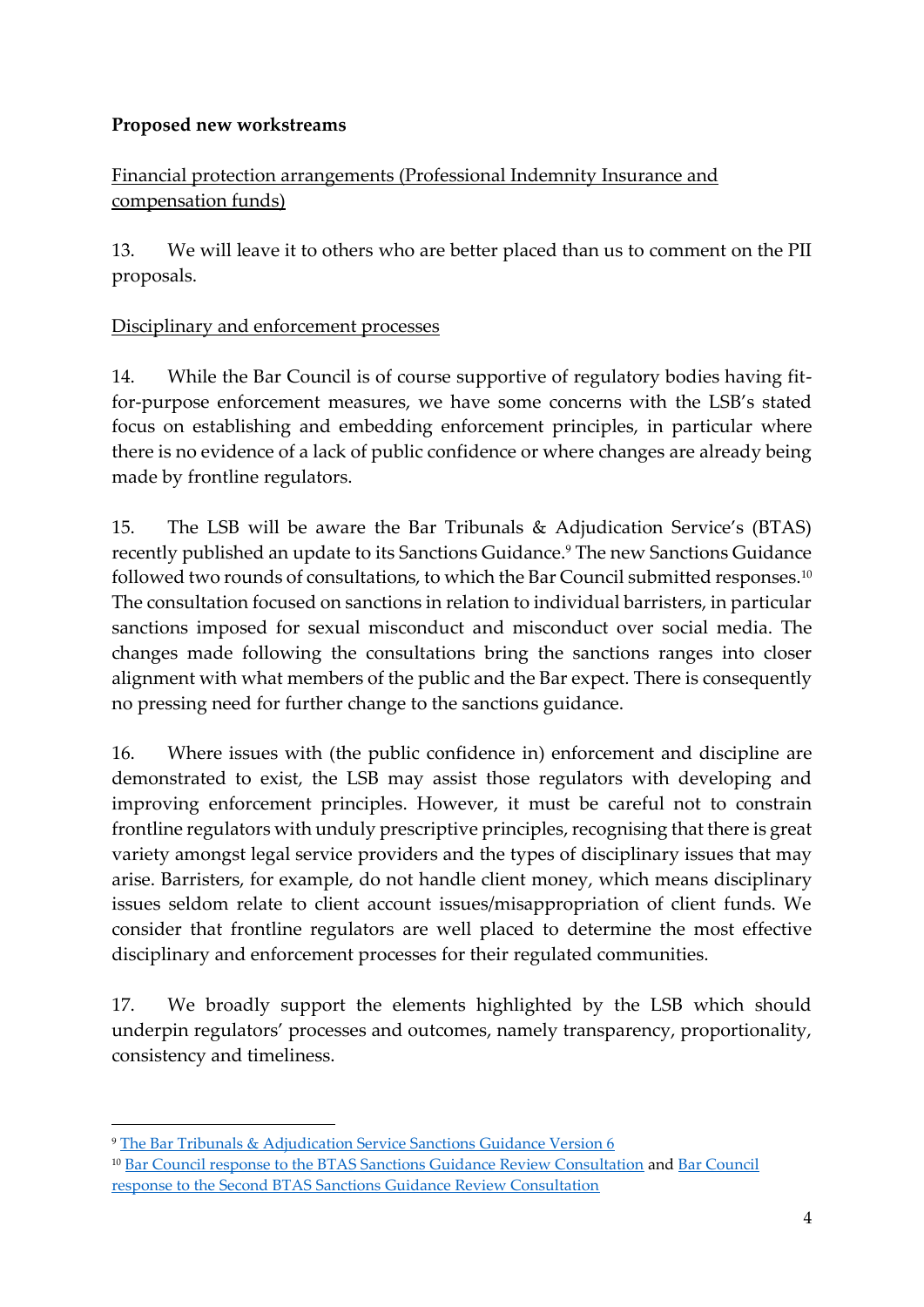## **Proposed new workstreams**

# Financial protection arrangements (Professional Indemnity Insurance and compensation funds)

13. We will leave it to others who are better placed than us to comment on the PII proposals.

#### Disciplinary and enforcement processes

14. While the Bar Council is of course supportive of regulatory bodies having fitfor-purpose enforcement measures, we have some concerns with the LSB's stated focus on establishing and embedding enforcement principles, in particular where there is no evidence of a lack of public confidence or where changes are already being made by frontline regulators.

15. The LSB will be aware the Bar Tribunals & Adjudication Service's (BTAS) recently published an update to its Sanctions Guidance.<sup>9</sup> The new Sanctions Guidance followed two rounds of consultations, to which the Bar Council submitted responses.<sup>10</sup> The consultation focused on sanctions in relation to individual barristers, in particular sanctions imposed for sexual misconduct and misconduct over social media. The changes made following the consultations bring the sanctions ranges into closer alignment with what members of the public and the Bar expect. There is consequently no pressing need for further change to the sanctions guidance.

16. Where issues with (the public confidence in) enforcement and discipline are demonstrated to exist, the LSB may assist those regulators with developing and improving enforcement principles. However, it must be careful not to constrain frontline regulators with unduly prescriptive principles, recognising that there is great variety amongst legal service providers and the types of disciplinary issues that may arise. Barristers, for example, do not handle client money, which means disciplinary issues seldom relate to client account issues/misappropriation of client funds. We consider that frontline regulators are well placed to determine the most effective disciplinary and enforcement processes for their regulated communities.

17. We broadly support the elements highlighted by the LSB which should underpin regulators' processes and outcomes, namely transparency, proportionality, consistency and timeliness.

<sup>9</sup> [The Bar Tribunals & Adjudication Service Sanctions Guidance Version 6](https://www.tbtas.org.uk/wp-content/uploads/2021/12/BTAS-Sanctions-Guidance-Jan-2022-Version-6-Final.pdf) <sup>10</sup> [Bar Council response to the BTAS Sanctions Guidance Review Consultation](https://www.barcouncil.org.uk/uploads/assets/c6f7bd4e-6e22-4e45-82b401483819efd0/Bar-CouncilBTAS-Sanctions-Guidance-Review-ConsultationFINAL-RESPONSE-2806.pdf) and [Bar Council](https://www.barcouncil.org.uk/uploads/assets/95136e7a-0e82-46de-a1a9e0fe210b4459/Response-to-the-BTAS-Sanction-Guidance-Consultation-Oct-2021.pdf)  [response to the Second BTAS Sanctions Guidance Review Consultation](https://www.barcouncil.org.uk/uploads/assets/95136e7a-0e82-46de-a1a9e0fe210b4459/Response-to-the-BTAS-Sanction-Guidance-Consultation-Oct-2021.pdf)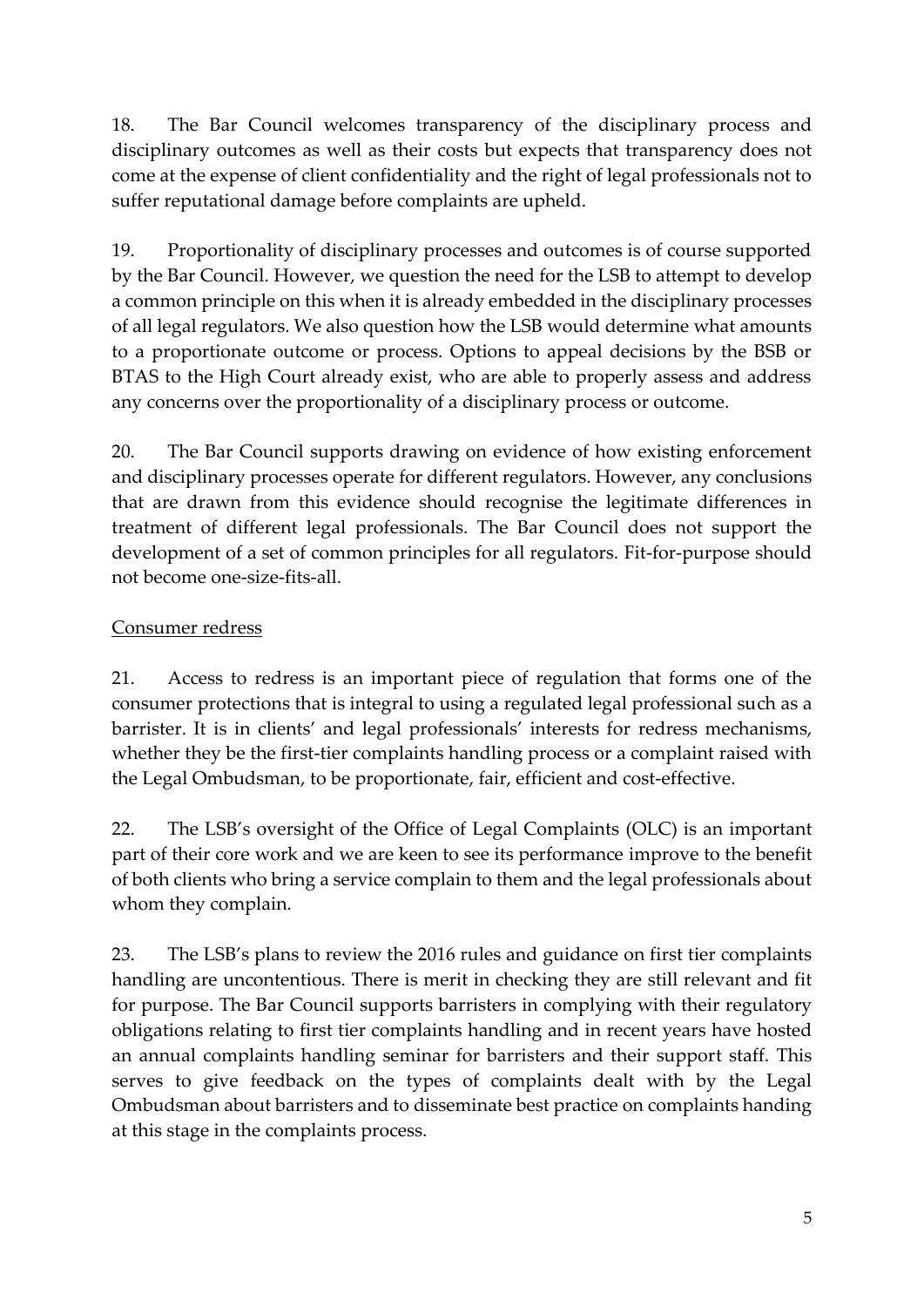18. The Bar Council welcomes transparency of the disciplinary process and disciplinary outcomes as well as their costs but expects that transparency does not come at the expense of client confidentiality and the right of legal professionals not to suffer reputational damage before complaints are upheld.

19. Proportionality of disciplinary processes and outcomes is of course supported by the Bar Council. However, we question the need for the LSB to attempt to develop a common principle on this when it is already embedded in the disciplinary processes of all legal regulators. We also question how the LSB would determine what amounts to a proportionate outcome or process. Options to appeal decisions by the BSB or BTAS to the High Court already exist, who are able to properly assess and address any concerns over the proportionality of a disciplinary process or outcome.

20. The Bar Council supports drawing on evidence of how existing enforcement and disciplinary processes operate for different regulators. However, any conclusions that are drawn from this evidence should recognise the legitimate differences in treatment of different legal professionals. The Bar Council does not support the development of a set of common principles for all regulators. Fit-for-purpose should not become one-size-fits-all.

# Consumer redress

21. Access to redress is an important piece of regulation that forms one of the consumer protections that is integral to using a regulated legal professional such as a barrister. It is in clients' and legal professionals' interests for redress mechanisms, whether they be the first-tier complaints handling process or a complaint raised with the Legal Ombudsman, to be proportionate, fair, efficient and cost-effective.

22. The LSB's oversight of the Office of Legal Complaints (OLC) is an important part of their core work and we are keen to see its performance improve to the benefit of both clients who bring a service complain to them and the legal professionals about whom they complain.

23. The LSB's plans to review the 2016 rules and guidance on first tier complaints handling are uncontentious. There is merit in checking they are still relevant and fit for purpose. The Bar Council supports barristers in complying with their regulatory obligations relating to first tier complaints handling and in recent years have hosted an annual complaints handling seminar for barristers and their support staff. This serves to give feedback on the types of complaints dealt with by the Legal Ombudsman about barristers and to disseminate best practice on complaints handing at this stage in the complaints process.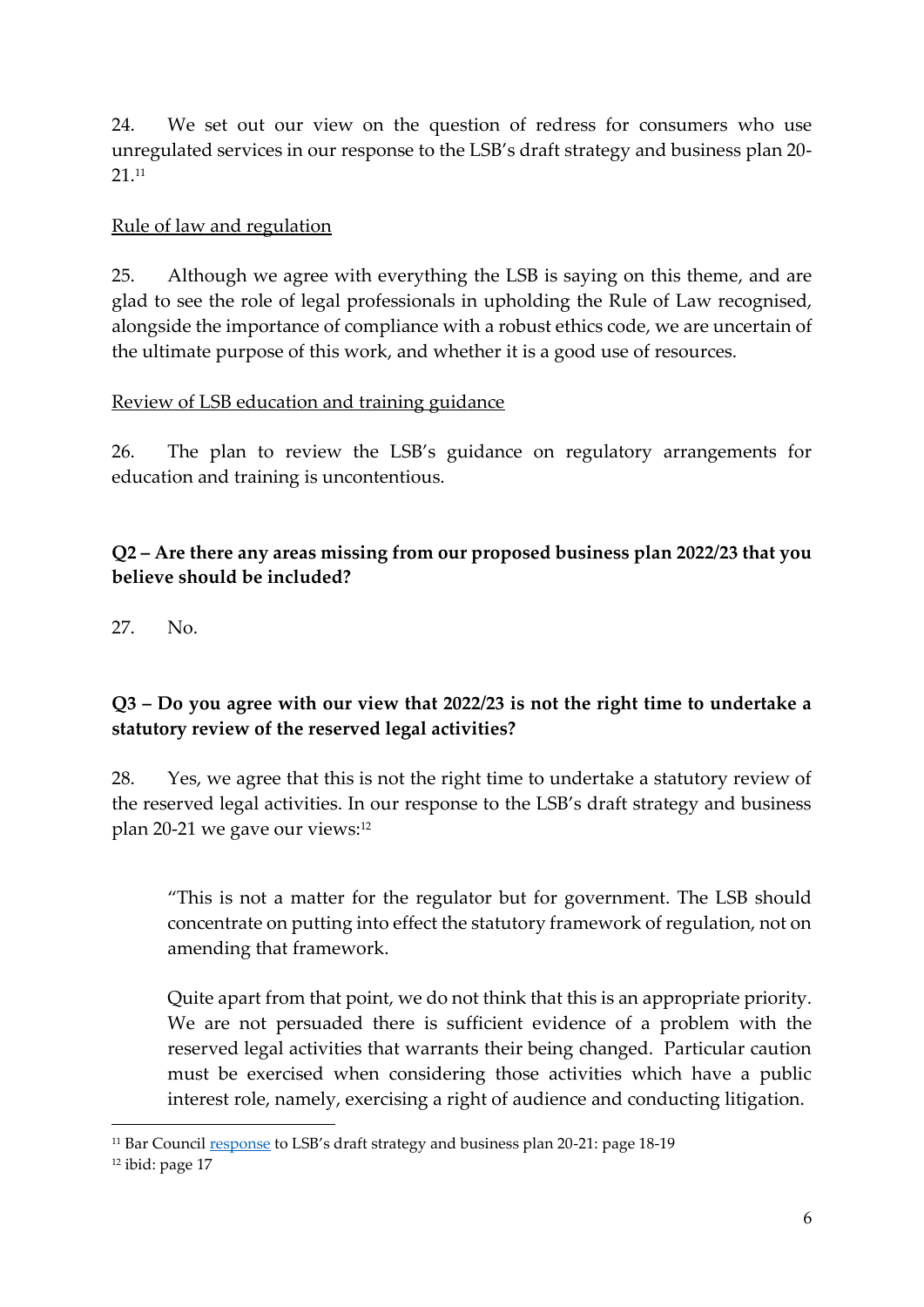24. We set out our view on the question of redress for consumers who use unregulated services in our response to the LSB's draft strategy and business plan 20- 21. 11

#### Rule of law and regulation

25. Although we agree with everything the LSB is saying on this theme, and are glad to see the role of legal professionals in upholding the Rule of Law recognised, alongside the importance of compliance with a robust ethics code, we are uncertain of the ultimate purpose of this work, and whether it is a good use of resources.

#### Review of LSB education and training guidance

26. The plan to review the LSB's guidance on regulatory arrangements for education and training is uncontentious.

## **Q2 – Are there any areas missing from our proposed business plan 2022/23 that you believe should be included?**

27. No.

## **Q3 – Do you agree with our view that 2022/23 is not the right time to undertake a statutory review of the reserved legal activities?**

28. Yes, we agree that this is not the right time to undertake a statutory review of the reserved legal activities. In our response to the LSB's draft strategy and business plan 20-21 we gave our views: 12

"This is not a matter for the regulator but for government. The LSB should concentrate on putting into effect the statutory framework of regulation, not on amending that framework.

Quite apart from that point, we do not think that this is an appropriate priority. We are not persuaded there is sufficient evidence of a problem with the reserved legal activities that warrants their being changed. Particular caution must be exercised when considering those activities which have a public interest role, namely, exercising a right of audience and conducting litigation.

<sup>&</sup>lt;sup>11</sup> Bar Council **response** to LSB's draft strategy and business plan 20-21: page 18-19

<sup>&</sup>lt;sup>12</sup> ibid: page 17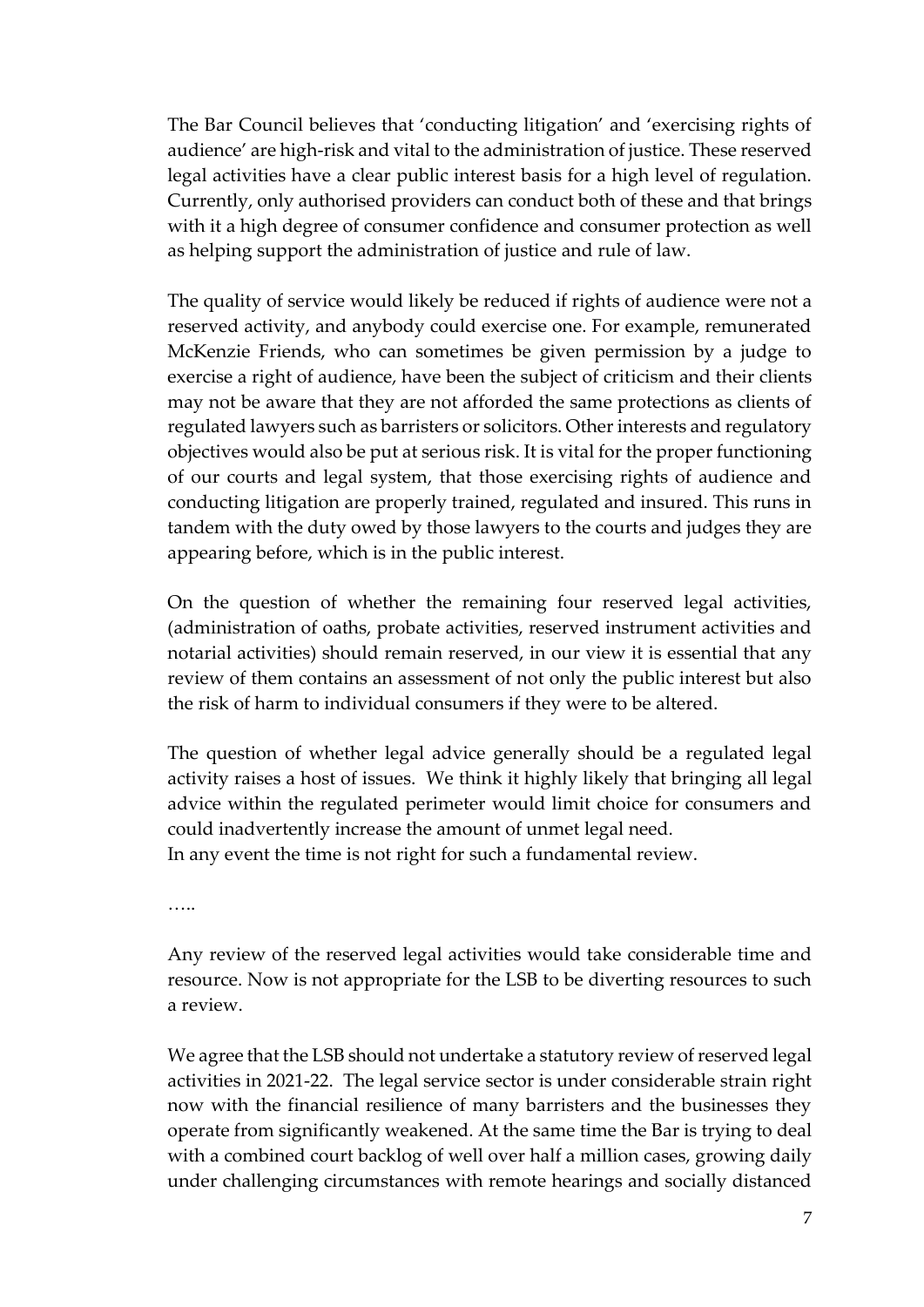The Bar Council believes that 'conducting litigation' and 'exercising rights of audience' are high-risk and vital to the administration of justice. These reserved legal activities have a clear public interest basis for a high level of regulation. Currently, only authorised providers can conduct both of these and that brings with it a high degree of consumer confidence and consumer protection as well as helping support the administration of justice and rule of law.

The quality of service would likely be reduced if rights of audience were not a reserved activity, and anybody could exercise one. For example, remunerated McKenzie Friends, who can sometimes be given permission by a judge to exercise a right of audience, have been the subject of criticism and their clients may not be aware that they are not afforded the same protections as clients of regulated lawyers such as barristers or solicitors. Other interests and regulatory objectives would also be put at serious risk. It is vital for the proper functioning of our courts and legal system, that those exercising rights of audience and conducting litigation are properly trained, regulated and insured. This runs in tandem with the duty owed by those lawyers to the courts and judges they are appearing before, which is in the public interest.

On the question of whether the remaining four reserved legal activities, (administration of oaths, probate activities, reserved instrument activities and notarial activities) should remain reserved, in our view it is essential that any review of them contains an assessment of not only the public interest but also the risk of harm to individual consumers if they were to be altered.

The question of whether legal advice generally should be a regulated legal activity raises a host of issues. We think it highly likely that bringing all legal advice within the regulated perimeter would limit choice for consumers and could inadvertently increase the amount of unmet legal need. In any event the time is not right for such a fundamental review.

…<br>……

Any review of the reserved legal activities would take considerable time and resource. Now is not appropriate for the LSB to be diverting resources to such a review.

We agree that the LSB should not undertake a statutory review of reserved legal activities in 2021-22. The legal service sector is under considerable strain right now with the financial resilience of many barristers and the businesses they operate from significantly weakened. At the same time the Bar is trying to deal with a combined court backlog of well over half a million cases, growing daily under challenging circumstances with remote hearings and socially distanced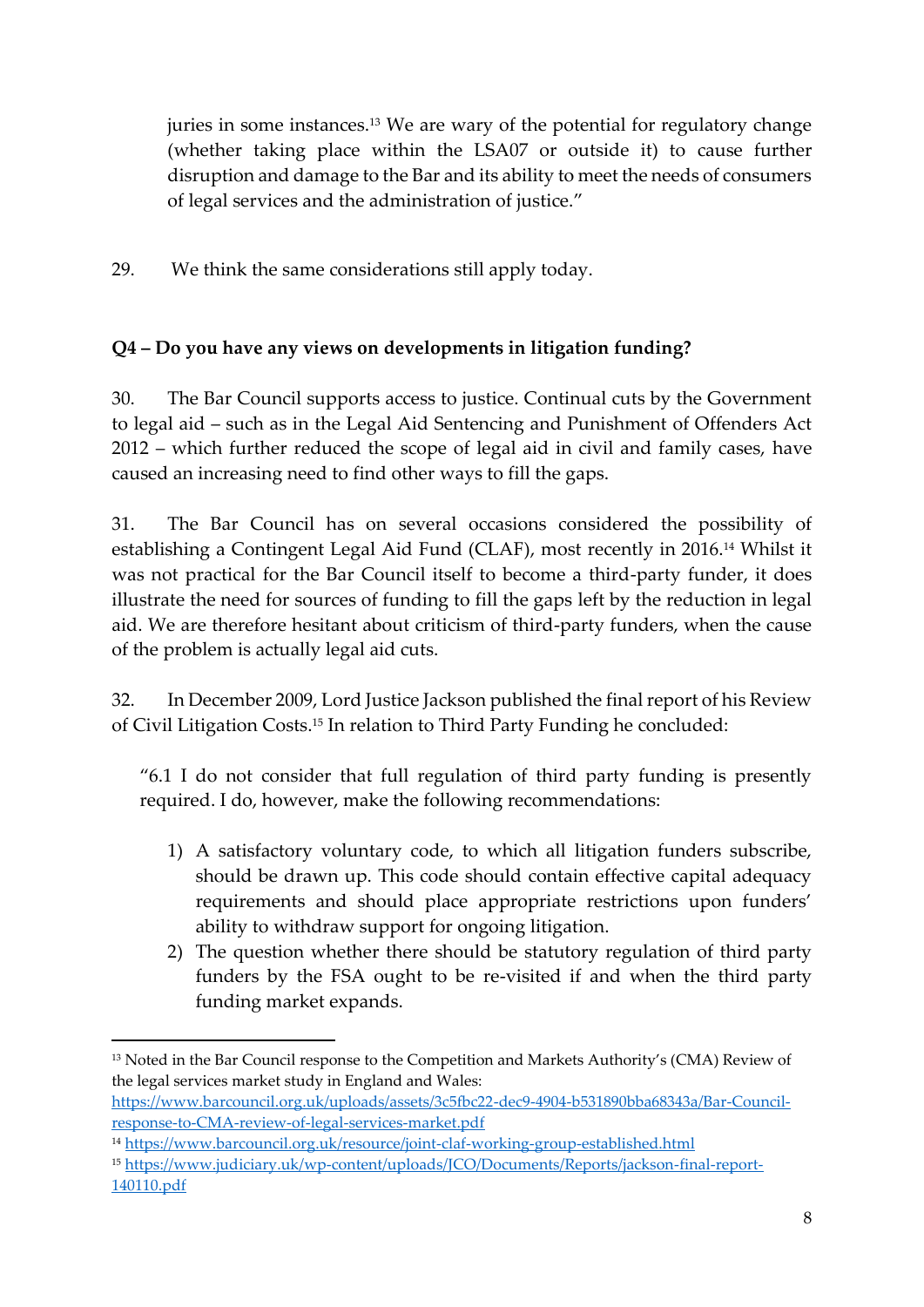juries in some instances.<sup>13</sup> We are wary of the potential for regulatory change (whether taking place within the LSA07 or outside it) to cause further disruption and damage to the Bar and its ability to meet the needs of consumers of legal services and the administration of justice."

29. We think the same considerations still apply today.

## **Q4 – Do you have any views on developments in litigation funding?**

30. The Bar Council supports access to justice. Continual cuts by the Government to legal aid – such as in the Legal Aid Sentencing and Punishment of Offenders Act 2012 – which further reduced the scope of legal aid in civil and family cases, have caused an increasing need to find other ways to fill the gaps.

31. The Bar Council has on several occasions considered the possibility of establishing a Contingent Legal Aid Fund (CLAF), most recently in 2016.<sup>14</sup> Whilst it was not practical for the Bar Council itself to become a third-party funder, it does illustrate the need for sources of funding to fill the gaps left by the reduction in legal aid. We are therefore hesitant about criticism of third-party funders, when the cause of the problem is actually legal aid cuts.

32. In December 2009, Lord Justice Jackson published the final report of his Review of Civil Litigation Costs. <sup>15</sup> In relation to Third Party Funding he concluded:

"6.1 I do not consider that full regulation of third party funding is presently required. I do, however, make the following recommendations:

- 1) A satisfactory voluntary code, to which all litigation funders subscribe, should be drawn up. This code should contain effective capital adequacy requirements and should place appropriate restrictions upon funders' ability to withdraw support for ongoing litigation.
- 2) The question whether there should be statutory regulation of third party funders by the FSA ought to be re-visited if and when the third party funding market expands.

<sup>&</sup>lt;sup>13</sup> Noted in the Bar Council response to the Competition and Markets Authority's (CMA) Review of the legal services market study in England and Wales:

[https://www.barcouncil.org.uk/uploads/assets/3c5fbc22-dec9-4904-b531890bba68343a/Bar-Council](about:blank)[response-to-CMA-review-of-legal-services-market.pdf](about:blank)

<sup>14</sup> <https://www.barcouncil.org.uk/resource/joint-claf-working-group-established.html>

<sup>15</sup> [https://www.judiciary.uk/wp-content/uploads/JCO/Documents/Reports/jackson-final-report-](https://www.judiciary.uk/wp-content/uploads/JCO/Documents/Reports/jackson-final-report-140110.pdf)[140110.pdf](https://www.judiciary.uk/wp-content/uploads/JCO/Documents/Reports/jackson-final-report-140110.pdf)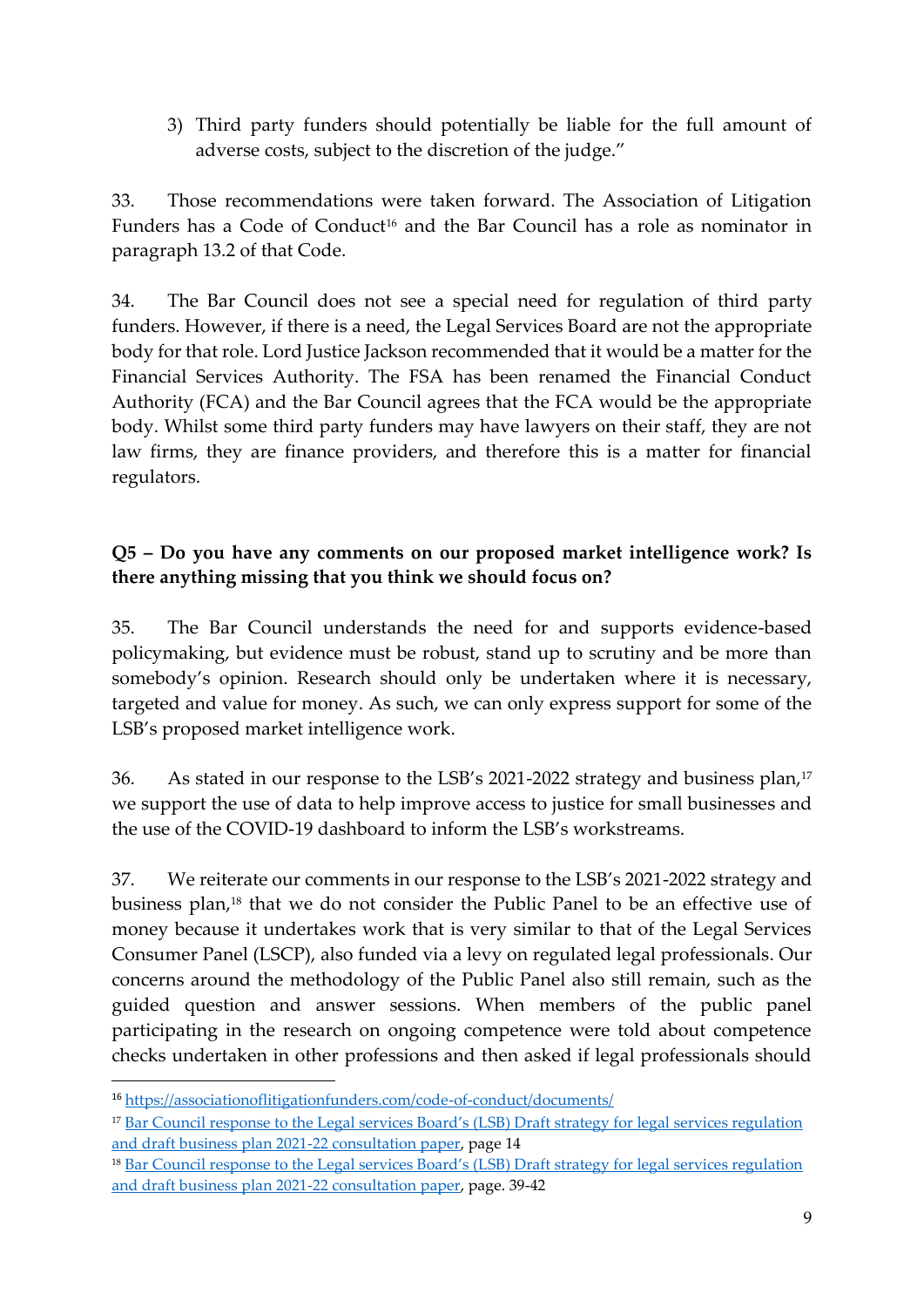3) Third party funders should potentially be liable for the full amount of adverse costs, subject to the discretion of the judge."

33. Those recommendations were taken forward. The Association of Litigation Funders has a Code of Conduct<sup>16</sup> and the Bar Council has a role as nominator in paragraph 13.2 of that Code.

34. The Bar Council does not see a special need for regulation of third party funders. However, if there is a need, the Legal Services Board are not the appropriate body for that role. Lord Justice Jackson recommended that it would be a matter for the Financial Services Authority. The FSA has been renamed the Financial Conduct Authority (FCA) and the Bar Council agrees that the FCA would be the appropriate body. Whilst some third party funders may have lawyers on their staff, they are not law firms, they are finance providers, and therefore this is a matter for financial regulators.

## **Q5 – Do you have any comments on our proposed market intelligence work? Is there anything missing that you think we should focus on?**

35. The Bar Council understands the need for and supports evidence-based policymaking, but evidence must be robust, stand up to scrutiny and be more than somebody's opinion. Research should only be undertaken where it is necessary, targeted and value for money. As such, we can only express support for some of the LSB's proposed market intelligence work.

36. As stated in our response to the LSB's 2021-2022 strategy and business plan,<sup>17</sup> we support the use of data to help improve access to justice for small businesses and the use of the COVID-19 dashboard to inform the LSB's workstreams.

37. We reiterate our comments in our response to the LSB's 2021-2022 strategy and business plan,<sup>18</sup> that we do not consider the Public Panel to be an effective use of money because it undertakes work that is very similar to that of the Legal Services Consumer Panel (LSCP), also funded via a levy on regulated legal professionals. Our concerns around the methodology of the Public Panel also still remain, such as the guided question and answer sessions. When members of the public panel participating in the research on ongoing competence were told about competence checks undertaken in other professions and then asked if legal professionals should

<sup>16</sup> <https://associationoflitigationfunders.com/code-of-conduct/documents/>

<sup>17</sup> [Bar Council response to the Legal services Board's \(LSB\) Draft strategy for legal services regulation](https://www.barcouncil.org.uk/uploads/assets/b1033e1b-6542-4c13-958790c8a8a64981/Bar-Council-response-to-the-LSB-draft-strategy-and-business-plan-21-22.pdf)  [and draft business plan 2021-22 consultation paper,](https://www.barcouncil.org.uk/uploads/assets/b1033e1b-6542-4c13-958790c8a8a64981/Bar-Council-response-to-the-LSB-draft-strategy-and-business-plan-21-22.pdf) page 14

<sup>18</sup> [Bar Council response to the Legal services Board's \(LSB\) Draft strategy for legal services regulation](https://www.barcouncil.org.uk/uploads/assets/b1033e1b-6542-4c13-958790c8a8a64981/Bar-Council-response-to-the-LSB-draft-strategy-and-business-plan-21-22.pdf)  [and draft business plan 2021-22 consultation](https://www.barcouncil.org.uk/uploads/assets/b1033e1b-6542-4c13-958790c8a8a64981/Bar-Council-response-to-the-LSB-draft-strategy-and-business-plan-21-22.pdf) paper, page. 39-42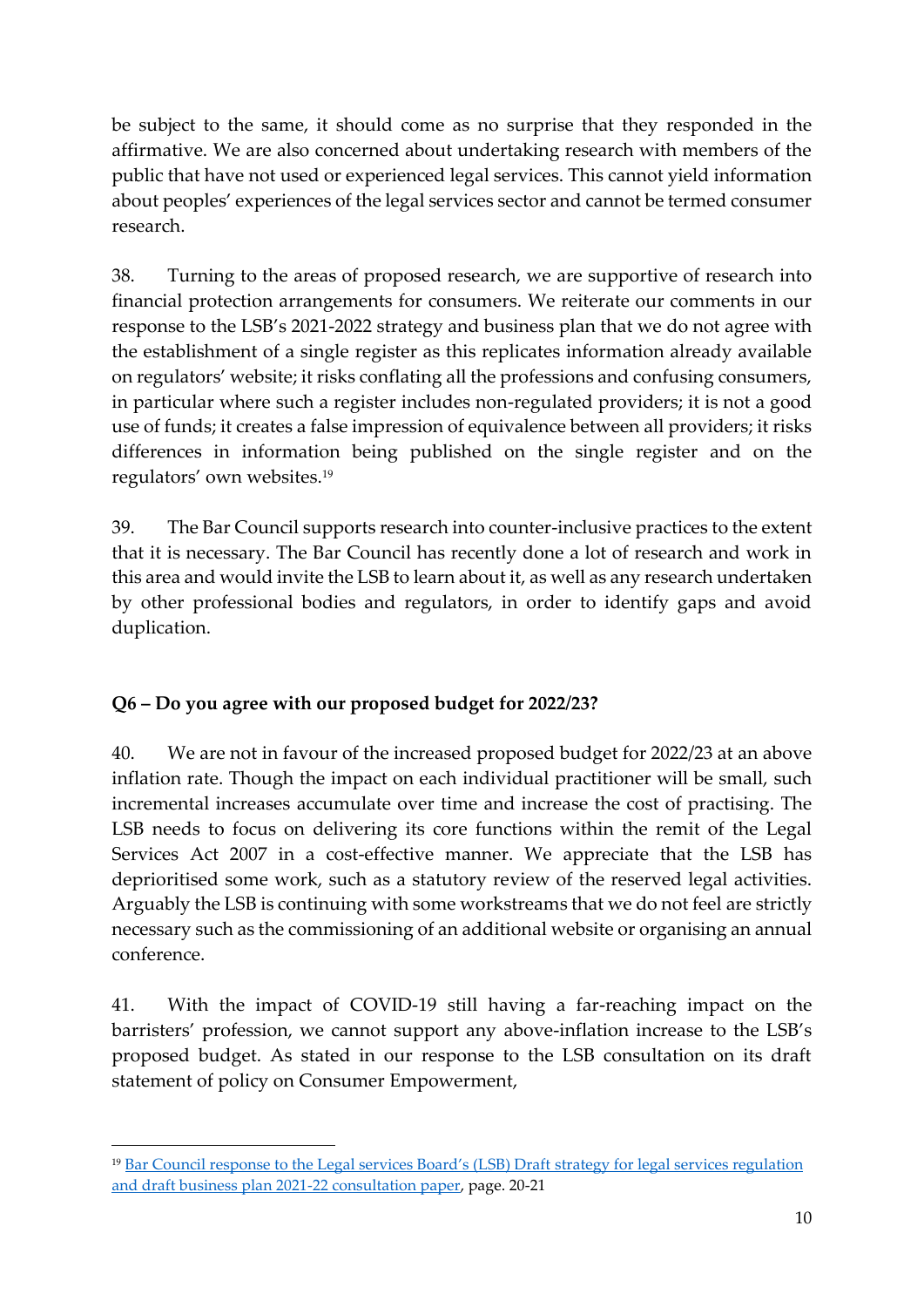be subject to the same, it should come as no surprise that they responded in the affirmative. We are also concerned about undertaking research with members of the public that have not used or experienced legal services. This cannot yield information about peoples' experiences of the legal services sector and cannot be termed consumer research.

38. Turning to the areas of proposed research, we are supportive of research into financial protection arrangements for consumers. We reiterate our comments in our response to the LSB's 2021-2022 strategy and business plan that we do not agree with the establishment of a single register as this replicates information already available on regulators' website; it risks conflating all the professions and confusing consumers, in particular where such a register includes non-regulated providers; it is not a good use of funds; it creates a false impression of equivalence between all providers; it risks differences in information being published on the single register and on the regulators' own websites.<sup>19</sup>

39. The Bar Council supports research into counter-inclusive practices to the extent that it is necessary. The Bar Council has recently done a lot of research and work in this area and would invite the LSB to learn about it, as well as any research undertaken by other professional bodies and regulators, in order to identify gaps and avoid duplication.

## **Q6 – Do you agree with our proposed budget for 2022/23?**

40. We are not in favour of the increased proposed budget for 2022/23 at an above inflation rate. Though the impact on each individual practitioner will be small, such incremental increases accumulate over time and increase the cost of practising. The LSB needs to focus on delivering its core functions within the remit of the Legal Services Act 2007 in a cost-effective manner. We appreciate that the LSB has deprioritised some work, such as a statutory review of the reserved legal activities. Arguably the LSB is continuing with some workstreams that we do not feel are strictly necessary such as the commissioning of an additional website or organising an annual conference.

41. With the impact of COVID-19 still having a far-reaching impact on the barristers' profession, we cannot support any above-inflation increase to the LSB's proposed budget. As stated in our response to the LSB consultation on its draft statement of policy on Consumer Empowerment,

<sup>19</sup> [Bar Council response to the Legal services Board's \(LSB\) Draft](https://www.barcouncil.org.uk/uploads/assets/b1033e1b-6542-4c13-958790c8a8a64981/Bar-Council-response-to-the-LSB-draft-strategy-and-business-plan-21-22.pdf) strategy for legal services regulation [and draft business plan 2021-22 consultation paper,](https://www.barcouncil.org.uk/uploads/assets/b1033e1b-6542-4c13-958790c8a8a64981/Bar-Council-response-to-the-LSB-draft-strategy-and-business-plan-21-22.pdf) page. 20-21